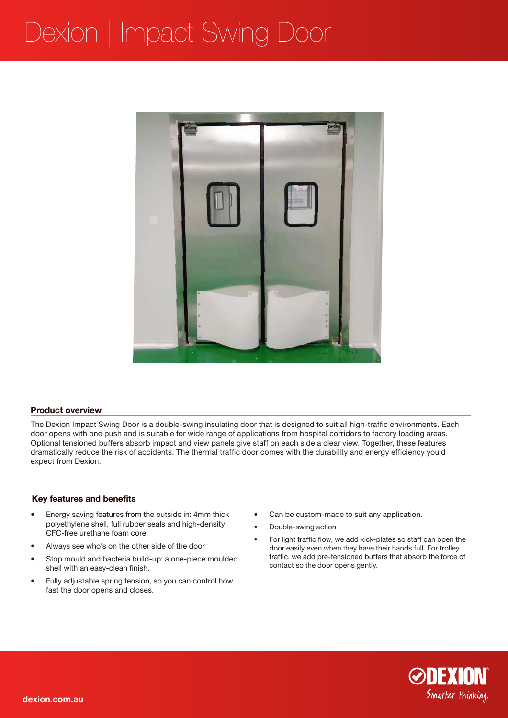# Dexion | Impact Swing Door



### **Product overview**

The Dexion Impact Swing Door is a double-swing insulating door that is designed to suit all high-traffic environments. Each door opens with one push and is suitable for wide range of applications from hospital corridors to factory loading areas. Optional tensioned buffers absorb impact and view panels give staff on each side a clear view. Together, these features dramatically reduce the risk of accidents. The thermal traffic door comes with the durability and energy efficiency you'd expect from Dexion.

### **Key features and benefits**

- Energy saving features from the outside in: 4mm thick polyethylene shell, full rubber seals and high-density CFC-free urethane foam core.
- Always see who's on the other side of the door
- Stop mould and bacteria build-up: a one-piece moulded shell with an easy-clean finish.
- Fully adjustable spring tension, so you can control how fast the door opens and closes.
- Can be custom-made to suit any application.
- Double-swing action
- For light traffic flow, we add kick-plates so staff can open the door easily even when they have their hands full. For trolley traffic, we add pre-tensioned buffers that absorb the force of contact so the door opens gently.